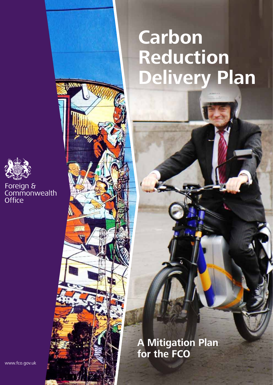# **Carbon Pluctio** Reduction **Delivery Plan**



Foreign &<br>Commonwealth Office

> **A Mitigation Plan for the FCO**

www.fco.gov.uk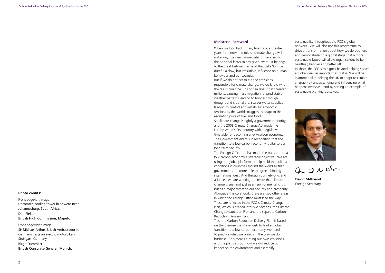#### **Ministerial Foreword**

When we look back in ten, twenty or a hundred years from now, the role of climate change will not always be clear, immediate, or necessarily the principal factor in any given event. It belongs to the great historian Fernand Braudel's 'longue dureé': a slow, but irresistible, influence on human behaviour and our societies.

But if we do not act to cut the emissions responsible for climate change, we do know what the result could be  $-$  rising sea levels that threaten millions, causing mass migration; unpredictable weather patterns leading to hunger through drought and crop failure; scarcer water supplies leading to conflict and instability; economic tensions as the world struggles to adapt to the escalating price of fuel and food.

So climate change is rightly a government priority, and the 2008 Climate Change Act made the UK the world's first country with a legislative timetable for becoming a low-carbon economy. The Government did this in recognition that the transition to a low-carbon economy is vital to our long term security.

**Plan for the**  sustainability throughout the FCO's global network. We will also use this programme to drive a transformation about how we do business, and demonstrate on a global stage that a more sustainable future will allow organisations to be healthier, happier and better off.

The Foreign Office too has made the transition to a low-carbon economy a strategic objective. We are using our global platform to help build the political conditions in countries around the world so that governments are more able to agree a binding international deal. And through our networks and alliances, we are working to ensure that climate change is seen not just as an environmental crisis, but as a major threat to our security and prosperity. Alongside this core work, there are two other areas in which the Foreign Office must lead the way. These are reflected in the FCO's Climate Change Plan, which is divided into two sections: the Climate Change Adaptation Plan and the separate Carbon Reduction Delivery Plan.

This, the Carbon Reduction Delivery Plan, is based on the premise that if we wish to lead a global transition to a low carbon economy, we need to practice what we preach in the way we do business. This means cutting our own emissions, and the plan sets out how we will reduce our impact on the environment and exemplify

#### **Photo credits:**

Front page/left image: Decorated cooling tower in Soweto near Johannesburg, South Africa. Dan Fieller

British High Commission, Maputo.

Front page/right image: Sir Michael Arthur, British Ambassador to Germany, tests an electric motorbike in Stuttgart, Germany. Birgit Dammert British Consulate-General, Munich.

In short, the FCO's role goes beyond helping secure a global deal, as important as that is. We will be instrumental in helping the UK to adapt to climate change - by understanding and influencing what happens overseas - and by setting an example of sustainable working ourselves.



Gail milita

**David Milliband** Foreign Secretary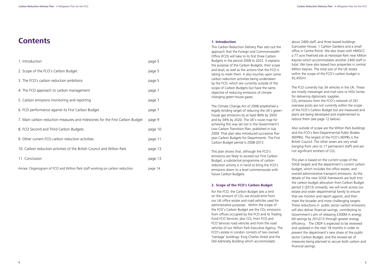#### **1. Introduction**

This Carbon Reduction Delivery Plan sets out the approach that the Foreign and Commonwealth Office (FCO) will take to its first three Carbon Budgets in the period 2008 to 2022. It explains the purpose of the Carbon Budgets, their scope and level; as well as the actions that the FCO is taking to meet them. It also touches upon some carbon reduction activities being undertaken by the FCO, which are currently outside of the scope of Carbon Budgets but have the same objective of reducing emissions of climate changing green-house gases.

The Climate Change Act of 2008 established a legally binding target of reducing the UK's greenhouse gas emissions by at least 80% by 2050 and by 34% by 2020. The UK's route map for achieving this was set out in the Government's Low Carbon Transition Plan, published in July 2009. That plan also introduced successive fiveyear Carbon Budgets for Departments. The First Carbon Budget period is 2008-2012.

about 2400 staff, and three leased buildings **FCO** (Lancaster House, 1 Carlton Gardens and a small office in Centre Point). We also share with HMGCC a 77 acre freehold site at Hanslope Park near Milton Keynes which accommodates another 2400 staff in total. We have also leased two properties in central Milton Keynes. The total size of the UK estate within the scope of the FCO's carbon budget is 92,455m2.

This plan shows that, although the FCO's emissions are likely to exceed our First Carbon Budget, a substantial programme of carbon reduction activity is in hand to bring the FCO's emissions down to a level commensurate with future Carbon Budgets.

#### **2. Scope of the FCO's Carbon Budget**

For the FCO, the Carbon Budget sets a limit on the amount of  $CO<sub>2</sub>$  we should emit from our UK office estate and road vehicles used for administrative purposes. Within the scope of the FCO's Carbon Budget are the  $CO<sub>2</sub>$  emissions from offices occupied by the FCO and its Trading Fund FCO Services; plus  $CO<sub>2</sub>$  from FCO and FCO Services road vehicles and from the road vehicles of our Wilton Park Executive Agency. The FCO's estate in London consists of two owned 'heritage' buildings: King Charles Street and the Old Admiralty Building which accommodate

The FCO currently has 34 vehicles in the UK. These are mostly messenger and mail vans or HGV lorries for delivering diplomatic supplies.

CO2 emissions from the FCO's network of 261 overseas posts are not currently within the scope of the FCO's Carbon Budget but are measured and plans are being developed and implemented to reduce them (see page 12 below).

Also outside of scope are the Wilton Park buildings and the FCO's Non-Departmental Public Bodies (NDPBs). The largest of the FCO's NDPBs is the British Council. The other seven are very small (ranging from zero to 17 permanent staff) and are not significant emitters of CO2

This plan is based on the current scope of the SOGE targets and the department's current carbon budget, which includes the office estate, and owned administrative transport emissions. As the details of the new SOGE framework are built into the carbon budget allocation from Carbon Budget period 2 (2013) onwards, we will work across our estate and wider departmental family to ensure that we monitor and report against, and then meet the broader and more challenging targets. These reductions in public sector carbon emissions will also deliver financial savings, contributing to Government's aim of releasing £300M in energy bill savings by 2012/13 through greater energy efficiency. The CRDP is expected to be reviewed and updated in the next 18 months in order to present the department's new share of the public sector Carbon Budget, and the revised set of measures being planned to secure both carbon and financial savings.

# **Contents**

| 1. Introduction                                                              | page 5  |
|------------------------------------------------------------------------------|---------|
| 2. Scope of the FCO's Carbon Budget                                          | page 5  |
| 3. The FCO's carbon reduction ambitions                                      | page 5  |
| 4. The FCO approach to carbon management                                     | page 7  |
| 5. Carbon emissions monitoring and reporting                                 | page 7  |
| 6. FCO performance against its First Carbon Budget                           | page 7  |
| 7. Main carbon reduction measures and milestones for the First Carbon Budget | page 9  |
| 8. FCO Second and Third Carbon Budgets                                       | page 10 |
| 9. Other current FCO carbon reduction activities                             | page 11 |
| 10. Carbon reduction activities of the British Council and Wilton Park       | page 13 |
| 11. Conclusion                                                               | page 13 |
| Annex: Organogram of FCO and Wilton Park staff working on carbon reduction   | page 14 |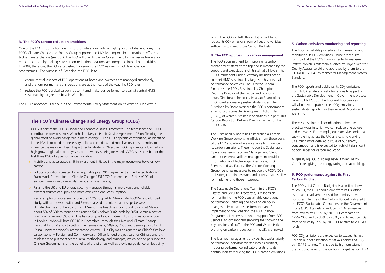# **5. Carbon emissions monitoring and reporting**<br>The FCO beamlishly an excluse for magnetics and

which the FCO will fulfil this ambition will be to reduce its  $CO<sub>2</sub>$  emissions from offices and vehicles sufficiently to meet future Carbon Budgets.

#### **4. The FCO approach to carbon management**

The FCO's commitment to improving its carbon management starts at the top and is matched by the support and expectations of its staff at all levels. The FCO's Permanent Under-Secretary includes action to meet HMG sustainability targets in his personal performance objectives. The Director-General Finance is the FCO's Sustainability Champion. With the Director of the Global and Economic Issues Directorate, he co-chairs a sub-Board of the FCO Board addressing sustainability issues. The Sustainability Board oversees the FCO's performance against its Sustainable Development Action Plan (SDAP), of which sustainable operations is a part. This Carbon Reduction Delivery Plan is an annex of the FCO's SDAP.

The Sustainability Board has established a Carbon Working Group comprising officials from those parts of the FCO and elsewhere most able to influence its carbon emissions. These include the Sustainable Operations Team; Facilities Management Client Unit; our external facilities management provider; Information and Technology Directorate; FCO Services and UK Estates. The Carbon Working Group identifies measures to reduce the FCO's  $CO<sub>2</sub>$ emissions, coordinates work and agrees responsibility for implementing those measures.

The FCO reports and publishes its  $CO<sub>2</sub>$  emissions from its UK estate and vehicles, annually as part of the Sustainable Development in Government process. From 2011/12, both the FCO and FCO Services will also have to publish their  $CO<sub>2</sub>$  emissions in sustainability reporting in their Annual Reports and Accounts.

The Sustainable Operations Team, in the FCO's Estates and Security Directorate, is responsible for monitoring the FCO's sustainable operations performance, initiating and advising on policy changes to improve this performance and for implementing the Greening the FCO Change Programme. It receives technical support from FCO Services. An organogram showing the showing the key positions of staff in the FCO and Wilton Park working on carbon reduction in the UK, is annexed.

> FCO  $CO<sub>2</sub>$  emissions are expected to exceed its first Carbon Budget allocation of 58,424 tonnes of  $CO<sub>2</sub>$ by 18,179 tonnes. This is due to high emissions in the first two years of the Carbon Budget period. FCO

The facilities management provider has sustainability performance indicators written into its contract, including performance indicators relating to its contribution to reducing the FCO's carbon emissions. The FCO has reliable procedures for measuring and monitoring its  $CO<sub>2</sub>$  emissions. Those procedures form part of the FCO's Environmental Management System, which is externally audited by Lloyd's Register Quality Assurance Ltd and approved by them to the ISO14001: 2004 Environmental Management System Standard.

- $>$  A visible and accelerated shift in investment initiated in the major economies towards low carbon;
- > Political conditions created for an equitable post 2012 agreement at the United Nations Framework Convention on Climate Change (UNFCCC) Conference of Parties (COP) of sufficient ambition to avoid dangerous climate change;
- > Risks to the UK and EU energy security managed through more diverse and reliable external sources of supply and more efficient global consumption.

There is close internal coordination to identify practical ways in which we can reduce energy use and emissions. For example, our extensive additional sub-metering across the UK estate, is now giving us a much more detailed picture of our energy consumption and is expected to highlight significant opportunities for carbon reduction.

All qualifying FCO buildings have Display Energy Certificates giving the energy rating of that building.

### **6. FCO performance against its First Carbon Budget**

The FCO's first Carbon Budget sets a limit on how much  $CO<sub>2</sub>$ the FCO should emit from its UK office estate and road vehicles used for administrative purposes. The size of the Carbon Budget is aligned to the FCO's Sustainable Operations on the Government Estate (SOGE) targets to reduce its  $CO<sub>2</sub>$  emissions from offices by 12.5% by 2010/11 compared to 1999/2000 and by 30% by 2020; and to reduce  $CO<sub>2</sub>$ from vehicles by 15% by 2010/11 relative to 2005/06 levels.

#### **3. The FCO's carbon reduction ambitions**

One of the FCO's four Policy Goals is to promote a low carbon, high growth, global economy. The FCO's Climate Change and Energy Group supports the UK's leading role in international efforts to tackle climate change (see box). The FCO will play its part in Government to give visible leadership in reducing carbon by making sure carbon reduction measures are integrated into all our activities. In 2008, therefore, the FCO established 'Greening the FCO' as one its high level change programmes. The purpose of 'Greening the FCO' is to:

- i) ensure that all aspects of FCO operations at home and overseas are managed sustainably, and that environmental considerations are at the heart of the way the FCO is run
- ii) reduce the FCO's global carbon footprint and make our performance against central HMG sustainability targets the best in Whitehall

The FCO's approach is set out in the Environmental Policy Statement on its website. One way in

# **The FCO's Climate Change and Energy Group (CCEG)**

CCEG is part of the FCO's Global and Economic Issues Directorate. The team leads the FCO's contribution towards cross-Whitehall delivery of Public Service Agreement 27 on "leading the global effort to avoid dangerous climate change". The FCO's specific contribution, as identified in the PSA, is to build the necessary political conditions and mobilise key constituencies to influence the major emitters. Departmental Strategic Objective (DSO7) (promote a low carbon, high growth, global economy) sets out how this is being delivered. CCEG is responsible for the first three DSO7 key performance indicators:

Key examples of successes include the FCO's support to Mexico. An FCO/Defra co-funded study, with a foreword with Lord Stern, analysed the inter-relationships between climate change and the economy in Mexico. The headline study found it will cost Mexico about 5% of GDP to reduce emissions to 50% below 2002 levels by 2050, versus a cost of 'inaction' of around 8% GDP. This has prompted a commitment to strong national action in Mexico - who will host COP16 in December - through their National Climate Change Plan that binds Mexico to cutting their emissions by 50% by 2050 and peaking by 2012. In China – now the world's largest carbon emitter - Jilin City was designated as China's first low carbon zone. A Foreign and Commonwealth Office funded project paid for Chinese and UK think-tanks to put together the initial methodology and concepts, which helped persuade the Chinese Governments of the benefits of the pilot, as well as providing guidance on feasibility.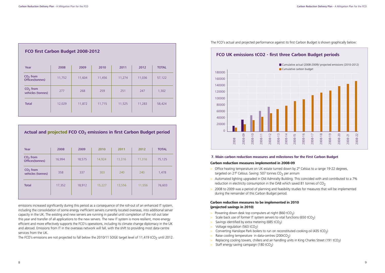**Plan for the** 

# **7. Main carbon reduction measures and milestones for the First Carbon Budget**

# **Carbon reduction measures implemented in 2008-09**

- $>$  Office heating temperature on UK estate turned down by 2 $^{\circ}$  Celsius to a range 19-22 degrees, targeted on 21 $^{\circ}$  Celsius. Saving: 507 tonnes CO<sub>2</sub> per annum
- > Automated lighting upgraded in Old Admiralty Building. This coincided with and contributed to a 7% reduction in electricity consumption in the OAB which saved 81 tonnes of  $CO<sub>2</sub>$
- > 2008 to 2009 was a period of planning and feasibility studies for measures that will be implemented during the remainder of this Carbon Budget period.

# **Carbon reduction measures to be implemented in 2010 (projected savings in 2010)**

- > Powering down desk top computers at night  $(860 \text{ tCO}_2)$
- $>$  Scale back use of former IT system servers to vital functions (650 tCO<sub>2</sub>)
- $>$  Savings identified by extra metering (685 tCO<sub>2</sub>)
- $>$  Voltage regulation (563 tCO<sub>2</sub>)
- $>$  Converting Hanslope Park boilers to run on reconstituted cooking oil (435 tCO<sub>2</sub>)
- $>$  Raise cooling temperature in data-centres (200tCO<sub>2</sub>)
- > Replacing cooling towers, chillers and air handling units in King Charles Street (191 tCO<sub>2</sub>)
- $>$  Staff energy saving campaign (180 tCO<sub>2</sub>)



emissions increased significantly during this period as a consequence of the roll-out of an enhanced IT system, including the consolidation of some energy inefficient servers currently located overseas, into additional server capacity in the UK. The existing and new servers are running in parallel until completion of the roll out later this year and transfer of all applications to the new servers. The new IT system is more resilient, more energy efficient and more effectively supports the FCO's operations, including its climate change diplomacy in the UK and abroad. Emissions from IT in the overseas network will fall, with the shift to providing most data-centre services from the UK.

The FCO's emissions are not projected to fall below the 2010/11 SOGE target level of 11,419 tCO<sub>2</sub> until 2012.



| FCO first Carbon Budget 2008-2012 |        |        |        |        |        |              |  |
|-----------------------------------|--------|--------|--------|--------|--------|--------------|--|
| Year                              | 2008   | 2009   | 2010   | 2011   | 2012   | <b>TOTAL</b> |  |
| $CO2$ from<br>Offices(tonnes)     | 11,752 | 11,604 | 11,456 | 11,274 | 11,036 | 57,122       |  |
| $CO2$ from<br>vehicles (tonnes)   | 277    | 268    | 259    | 251    | 247    | 1,302        |  |
| <b>Total</b>                      | 12,029 | 11,872 | 11,715 | 11,525 | 11,283 | 58,424       |  |

# **Actual and projected FCO CO2 emissions in first Carbon Budget period**

| Year                            | 2008   | 2009   | 2010   | 2011   | 2012   | <b>TOTAL</b> |
|---------------------------------|--------|--------|--------|--------|--------|--------------|
| $CO2$ from<br>Offices(tonnes)   | 16,994 | 18,575 | 14,924 | 13,316 | 11,316 | 75,125       |
| $CO2$ from<br>vehicles (tonnes) | 358    | 337    | 303    | 240    | 240    | 1,478        |
| <b>Total</b>                    | 17,352 | 18,912 | 15,227 | 13,556 | 11,556 | 76,603       |
|                                 |        |        |        |        |        |              |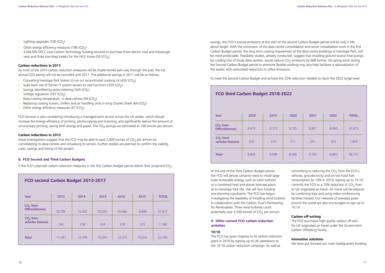- $>$  Lighting upgrades (100 tCO<sub>2</sub>)
- $>$  Other energy efficiency measures (196 tCO<sub>2</sub>)
- > £244,000 DECC Low Carbon Technology funding secured to purchase three electric mail and messenger vans and three low-drag trailers for the HGV lorries (55 tCO<sub>2</sub>)

savings, the FCO's annual emissions at the start of the second Carbon Budget period will be only 2.4% savings, the FCO's annual emissions at the start of the second Carbon Budget period will be only 2.4%<br>above target. With the conclusion of the data centre consolidation and server virtualisation work in the first Carbon Budget period, the long term cooling requirement of the data-centre buildings at Hanslope Park, will be more predictable. Feasibility studies, already conducted, suggest that installing ground source heat pumps for cooling one of those data-centres, would reduce  $CO<sub>2</sub>$  emissions by 668 tonnes. On-going work during the Second Carbon Budget period to promote flexible working may also help facilitate a rationalisation of the estate, with associated reductions in office emissions.

at the end of the third Carbon Budget period, the FCO will almost certainly need to install large scale renewable energy, such as wind turbines or a combined heat and power biomass plant, at its Hanslope Park site. We will face funding and planning constraints. The FCO has begun investigating the feasibility of installing wind turbines in collaboration with the Carbon Trust's Partnership for Renewables. Three wind turbines could potentially save 3,500 tonnes of  $CO<sub>2</sub>$  per annum.

To meet the second Carbon Budget and achieve the 23% reduction needed to reach the 2022 target level

committing to reducing the  $CO<sub>2</sub>$  from the FCO's vehicles, grid electricity and on-site fossil fuel consumption by 10% in 2010; signing up to 10:10 commits the FCO to a 10% reduction in  $CO<sub>2</sub>$  from its UK originated air travel. Air travel will be reduced by combining trips and using video-conferencing facilities instead. Our network of overseas posts around the world are also encouraged to sign up to 10:10.

### **9. Other current FCO carbon reduction activities**

#### **10:10**

The FCO has given impetus to its carbon reduction plans in 2010 by signing up its UK operations to the 10:10 carbon reduction campaign. As well as

FCO Services is also considering introducing a managed print service across the UK estate, which should increase the energy efficiency of printing, photocopying and scanning; and significantly reduce the amount of unnecessary printing, saving both energy and paper. The  $CO<sub>2</sub>$  savings are estimated at 100 tonnes per annum.

Initial investigations suggest that the FCO may be able to save 2,000 tonnes of  $CO<sub>2</sub>$  per annum by consolidating its data-centres and virtualising its servers. Further studies are planned to confirm the viability, costs, savings and timing of this project.

# **Carbon off-setting**

The FCO purchases high quality carbon off-sets for UK originated air travel under the Government Carbon Offsetting Facility.

# **Innovative solutions**

We have put forward our main headquarters building

| FCO third Carbon Budget 2018-2022 |       |       |       |       |       |              |  |  |
|-----------------------------------|-------|-------|-------|-------|-------|--------------|--|--|
| Year                              | 2018  | 2019  | 2020  | 2021  | 2022  | <b>TOTAL</b> |  |  |
| $CO2$ from<br>Offices(tonnes)     | 9,610 | 9,373 | 9,135 | 8,897 | 8,660 | 45,675       |  |  |
| $CO2$ from<br>vehicles (tonnes)   | 220   | 216   | 211   | 207   | 202   | 1,056        |  |  |
| <b>Total</b>                      | 9,830 | 9,589 | 9,346 | 9,104 | 8,862 | 46,731       |  |  |

#### **Carbon reductions in 2011**

As most of the 2010 carbon reduction measures will be implemented part way through the year, the full annual CO2 saving will not be recorded until 2011. The additional savings in 2011 will be as follows:

- $>$  Converting Hanslope Park boilers to run on reconstituted cooking oil (435 tCO<sub>2</sub>)
- $>$  Scale back use of former IT system servers to vital functions (350 tCO<sub>2</sub>)
- $>$  Savings identified by extra metering (343 tCO<sub>2</sub>)
- $>$  Voltage regulation (187 tCO<sub>2</sub>)
- $>$  Raise cooling temperature in data-centres (94 tCO<sub>2</sub>)
- $>$  Replacing cooling towers, chillers and air handling units in King Charles Street (64 tCO<sub>2</sub>)
- $>$  Other energy efficiency measures (47 tCO<sub>2</sub>)

#### **Carbon reductions in 2012**

### **8. FCO Second and Third Carbon Budgets**

If the FCO's planned carbon reduction measures in the first Carbon Budget period deliver their projected  $CO<sub>2</sub>$ 

| FCO second Carbon Budget 2013-2017 |        |        |        |        |        |              |
|------------------------------------|--------|--------|--------|--------|--------|--------------|
| Year                               | 2013   | 2014   | 2015   | 2016   | 2017   | <b>TOTAL</b> |
| $CO2$ from<br>Offices(tonnes)      | 10,799 | 10,561 | 10,323 | 10,086 | 9,848  | 51,617       |
| $CO2$ from<br>vehicles (tonnes)    | 242    | 238    | 234    | 229    | 225    | 1,168        |
| <b>Total</b>                       | 11,041 | 10,799 | 10,557 | 10,315 | 10,073 | 52,785       |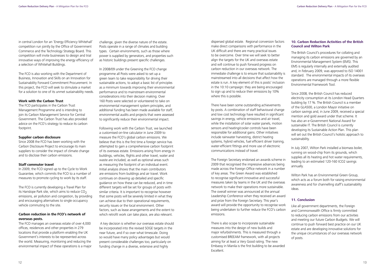dispersed global estate. Regional conversion factors **10. Carbon Reduc**<br>make direct comparisons with performance in the **Council and Wilto** UK difficult and there are many practical issues to be overcome. Over time we will seek to better align the targets for the UK and overseas estate and will continue to push forward progress on carbon reduction in our overseas network. The immediate challenge is to ensure that sustainability is mainstreamed into all decisions that affect how the estate is run. A key element of this is posts' inclusion in the 10:10 campaign: they are being encouraged to sign up and to reduce their emissions by 10% where this is possible.

There have been some outstanding achievements by posts. A combination of staff behavioural change and low cost technology have resulted in significant savings in energy, vehicle emissions and air travel, while the installation of solar water panels, motion sensors and heating/cooler controls have been responsible for additional gains. Other initiatives include rainwater harvesting, district heating systems, hybrid vehicles, fuel efficient driver training, water-efficient fittings and more use of electronic communications instead of travel.

# **Plan for the 10. Carbon Reduction Activities of the British Council and Wilton Park**

The Foreign Secretary endorsed an awards scheme in 2009 that recognised the impressive advances being made across the Foreign Office network in a number of key areas. The Green Award was established to recognise significant innovative and successful measures taken by teams in the UK and the overseas network to make their operations more sustainable. The overall winner was announced at the annual Leadership Conference when they received an award and prize from the Foreign Secretary. This year's award will provide the opportunity to recognise work being undertaken to further reduce the FCO's carbon emissions.

There is also scope to incorporate sustainable measures into the design of new builds and major refurbishments. This is measured through a customised BREEAM framework, with all projects aiming for at least a Very Good rating. The new Embassy in Manila is the first building to be awarded Excellent.

The British Council's procedures for collating and managing its carbon emissions are governed by an Environmental Management System (EMS). This EMS is regularly internally and externally audited and, in February 2009, was approved to ISO 14001 standard. The environmental impacts of its overseas operations are managed through a more flexible Environmental Framework Tool.

Since 2008, the British Council has reduced electricity consumption at its London Head Quarters building by 17 %. The British Council is a member of the GLA500, a London Mayor initiative on carbon savings and, in June 2009, received a special mention and gold award under that scheme. It has also an e-Government National Award for sustainable IT. The British Council is currently developing its Sustainable Action Plan. This plan will set out the British Council's holistic approach to sustainability.

In July 2007, Wilton Park installed a biomass boiler, running on wood-chip from its grounds, which supplies all its heating and hot water requirements, leading to an estimated 120-160 tCO2 savings annually.

Wilton Park has an Environmental Green Group, which acts as a forum both for raising environmental awareness and for channelling staff's sustainability ideas.

# **11. Conclusion**

Like all government departments, the Foreign and Commonwealth Office is firmly committed to reducing carbon emissions from our activities and meeting our future Carbon Budgets. We will continue to push forward best practice on our UK estate and are developing innovative solutions for the unique circumstances of our overseas network of posts.

in central London for an 'Energy Efficiency Whitehall' competition run jointly by the Office of Government Commerce and the Technology Strategy Board. This competition will invite businesses to design and trial innovative ways of improving the energy efficiency of a selection of Whitehall Buildings.

The FCO is also working with the Department of Business, Innovation and Skills on an Innovation for Sustainability Forward Commitment Procurement. In this project, the FCO will seek to stimulate a market for a solution to one of its unmet sustainability needs.

#### **Work with the Carbon Trust**

The FCO participates in the Carbon Trust Management Programme and is intending to join its Carbon Management Service for Central Government. The Carbon Trust has also provided advice on the FCO's strategy to reduce its carbon footprint.

#### **Supplier carbon disclosure**

Since 2008 the FCO has been working with the Carbon Disclosure Project to encourage its main suppliers to consider the impact of climate change and to disclose their carbon emissions.

#### **Staff commuter travel**

In 2009, the FCO signed up to the Cycle to Work Guarantee, which commits the FCO to a number of measures to promote cycling to work by its staff.

The FCO is currently developing a Travel Plan for its Hanslope Park site, which aims to reduce  $CO<sub>2</sub>$ emissions, air pollution and congestion, by providing and encouraging alternatives to single occupancy vehicle commuting to the site.

### **Carbon reduction in the FCO's network of overseas posts.**

The FCO manages an overseas estate of over 4,000 offices, residences and other properties in 279 locations that provide a platform enabling the UK Government's interests to be represented across the world. Measuring, monitoring and reducing the environmental impact of these operations is a major challenge, given the diverse nature of the estate. Posts operate in a range of climates and building types. Certain environments, such as those where power is supplied by generators, and properties such as historic buildings present specific challenges.

In 2008/09 under the Greening the FCO change programme all Posts were asked to set up a green team to take responsibility for driving their sustainable actions, to adopt a basic list of principles as a minimum towards improving their environmental performance and to mainstream environmental considerations into their decision making. Over 160 Posts were selected or volunteered to take on environmental management system principles, and additional funding has been made available for staff, environmental audits and projects that were assessed to significantly reduce their environmental impact.

Following work with the Carbon Trust, we launched a customised on-line calculator in June 2009 to measure the FCO's global carbon emissions. We believe that this is the first time a foreign service has attempted to gain a comprehensive carbon footprint of its overseas estate. Emissions arising from energy in buildings, vehicles, flights and other travel, water and waste are included, as well as optional areas such as measuring the footprint of an individual event. Initial analysis shows that the main contributors are emissions from buildings and air travel. Work continues on drawing up detailed and specific guidance on how these can be reduced, and in time different targets will be set for groups of posts with similar criteria. It is important to recognise however that some posts will be severely limited in what they can achieve due to their operational requirements, security issues or the local environment. Other factors, such as lease arrangements and the extent to which retrofit work can take place, are also relevant.

 A key decision is whether our overseas estate should be incorporated into the revised SOGE targets in the near future, and if so over what timescale. Doing so would have many policy advantages but would present considerable challenges too, particularly on funding change in a diverse, extensive and highly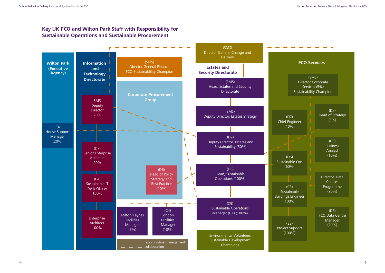# **Key UK FCO and Wilton Park Staff with Responsibility for Sustainable Operations and Sustainable Procurement**